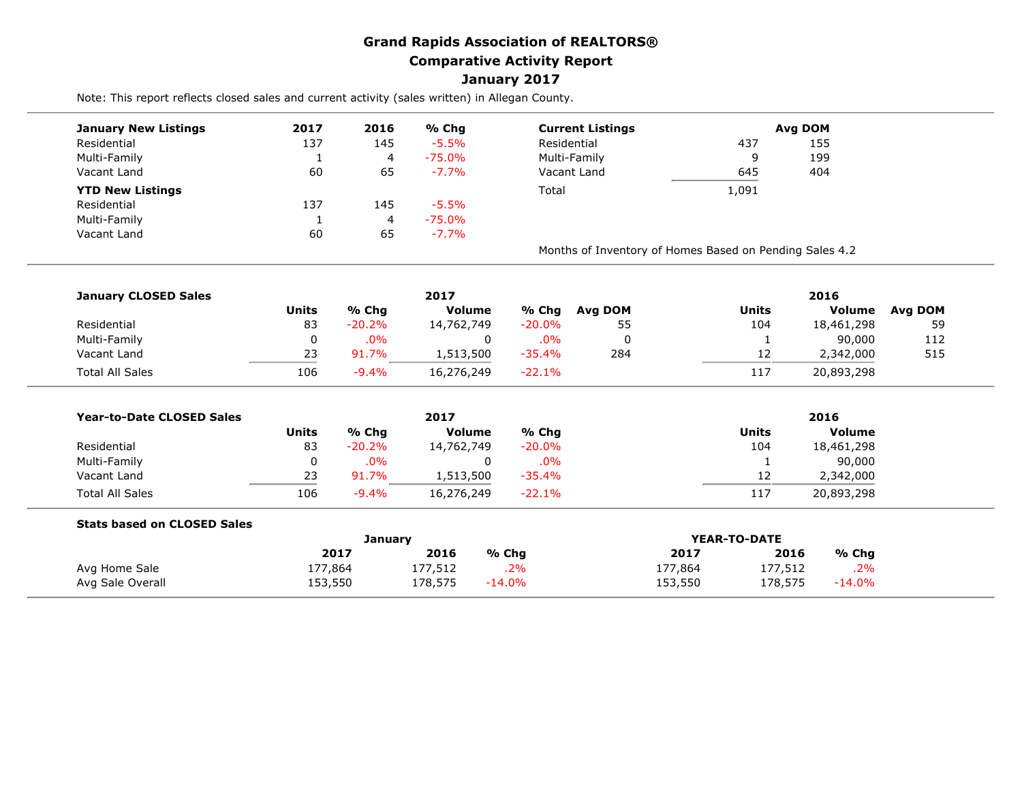## **Grand Rapids Association of REALTORS® Comparative Activity Report January 2017**

Note: This report reflects closed sales and current activity (sales written) in Allegan County.

| <b>January New Listings</b> | 2017 | 2016 | % Chg     | <b>Current Listings</b>                                 |       | Avg DOM |
|-----------------------------|------|------|-----------|---------------------------------------------------------|-------|---------|
| Residential                 | 137  | 145  | $-5.5%$   | Residential                                             | 437   | 155     |
| Multi-Family                |      | 4    | -75.0%    | Multi-Family                                            | Ω     | 199     |
| Vacant Land                 | 60   | 65   | $-7.7\%$  | Vacant Land<br>645                                      |       | 404     |
| <b>YTD New Listings</b>     |      |      |           | Total                                                   | 1,091 |         |
| Residential                 | 137  | 145  | $-5.5%$   |                                                         |       |         |
| Multi-Family                |      | 4    | $-75.0\%$ |                                                         |       |         |
| Vacant Land                 | 60   | 65   | $-7.7%$   |                                                         |       |         |
|                             |      |      |           | Months of Inventory of Homes Based on Pending Sales 4.2 |       |         |

| <b>January CLOSED Sales</b> |       |          | 2017          |           |         | 2016  |            |         |  |
|-----------------------------|-------|----------|---------------|-----------|---------|-------|------------|---------|--|
|                             | Units | % Chg    | <b>Volume</b> | % Chg     | Avg DOM | Units | Volume     | Avg DOM |  |
| Residential                 | 83    | $-20.2%$ | 14,762,749    | $-20.0\%$ | 55      | 104   | 18,461,298 | 59      |  |
| Multi-Family                |       | $.0\%$   |               | .0%       |         |       | 90,000     | 112     |  |
| Vacant Land                 | 23    | 91.7%    | 1,513,500     | $-35.4\%$ | 284     | 12    | 2,342,000  | 515     |  |
| <b>Total All Sales</b>      | 106   | $-9.4%$  | 16,276,249    | $-22.1\%$ |         | 117   | 20,893,298 |         |  |

| <b>Year-to-Date CLOSED Sales</b> |       |          | 2017       |           | 2016  |               |  |
|----------------------------------|-------|----------|------------|-----------|-------|---------------|--|
|                                  | Units | % Cha    | Volume     | % Chg     | Units | <b>Volume</b> |  |
| Residential                      | 83    | $-20.2%$ | 14,762,749 | $-20.0\%$ | 104   | 18,461,298    |  |
| Multi-Family                     |       | $.0\%$   |            | $.0\%$    |       | 90,000        |  |
| Vacant Land                      | 23    | 91.7%    | 1,513,500  | $-35.4\%$ | 12    | 2,342,000     |  |
| <b>Total All Sales</b>           | 106   | $-9.4%$  | 16,276,249 | $-22.1\%$ | 117   | 20,893,298    |  |

| <b>Stats based on CLOSED Sales</b> |         |         |           |              |         |           |
|------------------------------------|---------|---------|-----------|--------------|---------|-----------|
|                                    |         | Januarv |           | YEAR-TO-DATE |         |           |
|                                    | 2017    | 2016    | % Chq     | 2017         | 2016    | % Chg     |
| Avg Home Sale                      | 177,864 | 177,512 | .2%       | 177,864      | 177,512 | .2%       |
| Avg Sale Overall                   | 153,550 | 178,575 | $-14.0\%$ | 153,550      | 178,575 | $-14.0\%$ |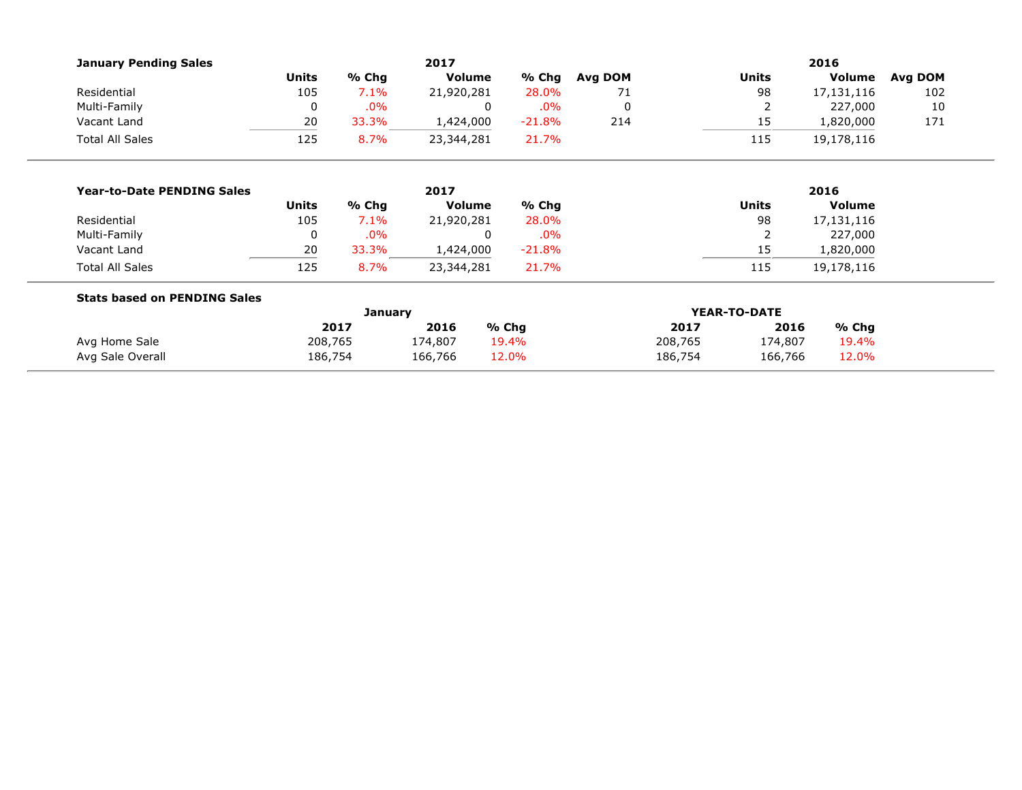| <b>January Pending Sales</b>        |                |        | 2017          |          | 2016    |              |              |               |         |  |
|-------------------------------------|----------------|--------|---------------|----------|---------|--------------|--------------|---------------|---------|--|
|                                     | <b>Units</b>   | % Chg  | <b>Volume</b> | % Chg    | Avg DOM |              | <b>Units</b> | Volume        | Avg DOM |  |
| Residential                         | 105            | 7.1%   | 21,920,281    | 28.0%    | 71      |              | 98           | 17,131,116    | 102     |  |
| Multi-Family                        | $\Omega$       | .0%    | 0             | .0%      | 0       |              | 2            | 227,000       | 10      |  |
| Vacant Land                         | 20             | 33.3%  | 1,424,000     | $-21.8%$ | 214     |              | 15           | 1,820,000     | 171     |  |
| <b>Total All Sales</b>              | 125            | 8.7%   | 23,344,281    | 21.7%    |         |              | 115          | 19,178,116    |         |  |
|                                     |                |        |               |          |         |              |              |               |         |  |
| <b>Year-to-Date PENDING Sales</b>   |                | 2017   |               |          |         |              | 2016         |               |         |  |
|                                     | <b>Units</b>   | % Chg  | Volume        | $%$ Chg  |         |              | <b>Units</b> | <b>Volume</b> |         |  |
| Residential                         | 105            | 7.1%   | 21,920,281    | 28.0%    |         |              | 98           | 17,131,116    |         |  |
| Multi-Family                        | 0              | $.0\%$ | 0             | .0%      |         |              | 2            | 227,000       |         |  |
| Vacant Land                         | 20             | 33.3%  | 1,424,000     | $-21.8%$ |         |              | 15           | 1,820,000     |         |  |
| <b>Total All Sales</b>              | 125            | 8.7%   | 23,344,281    | 21.7%    |         |              | 115          | 19,178,116    |         |  |
| <b>Stats based on PENDING Sales</b> |                |        |               |          |         |              |              |               |         |  |
|                                     | <b>January</b> |        |               |          |         | YEAR-TO-DATE |              |               |         |  |
|                                     |                | 2017   | 2016          | % Chg    |         | 2017         | 2016         | % Chg         |         |  |
| Avg Home Sale                       | 208,765        |        | 174,807       | 19.4%    |         | 208,765      | 174,807      | 19.4%         |         |  |
| Avg Sale Overall                    | 186,754        |        | 166,766       | 12.0%    |         | 186,754      | 166,766      | 12.0%         |         |  |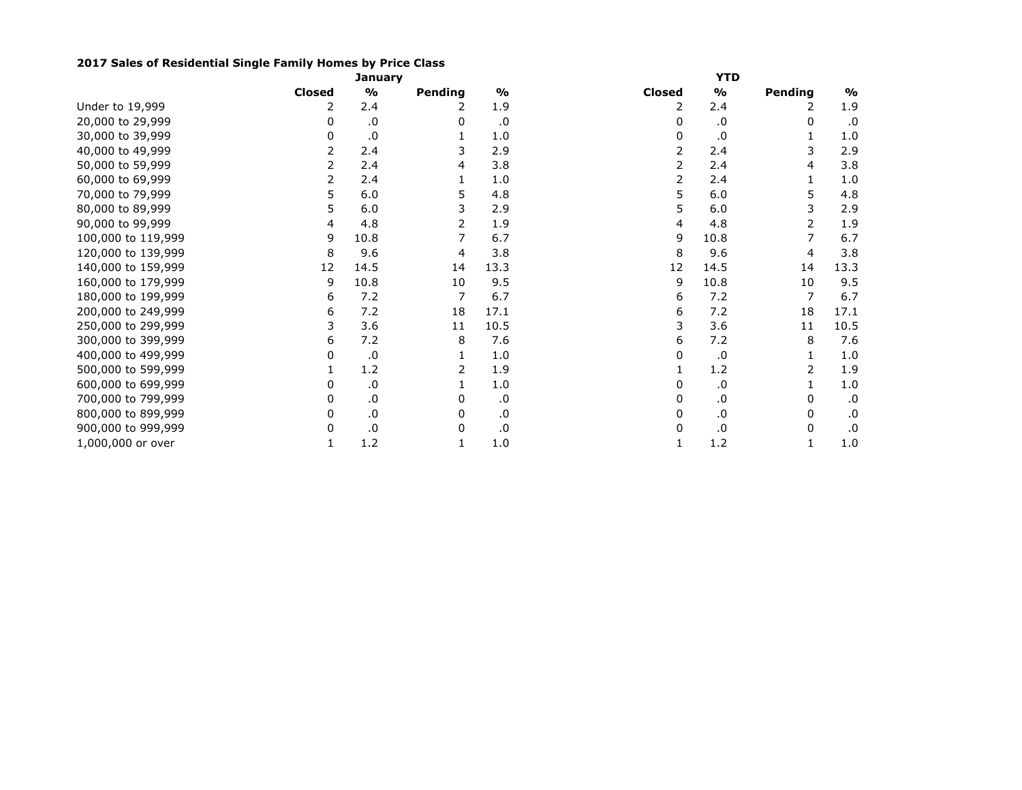## **2017 Sales of Residential Single Family Homes by Price Class**

|                    |               | <b>January</b> |                |               | <b>YTD</b>    |               |         |               |  |  |
|--------------------|---------------|----------------|----------------|---------------|---------------|---------------|---------|---------------|--|--|
|                    | <b>Closed</b> | $\frac{1}{2}$  | Pending        | $\frac{1}{2}$ | <b>Closed</b> | $\frac{1}{2}$ | Pending | $\frac{1}{2}$ |  |  |
| Under to 19,999    | 2             | 2.4            | 2              | 1.9           | 2             | 2.4           | 2       | 1.9           |  |  |
| 20,000 to 29,999   | 0             | .0             | 0              | .0            | 0             | .0            | 0       | .0            |  |  |
| 30,000 to 39,999   | 0             | .0             |                | 1.0           | 0             | .0            |         | 1.0           |  |  |
| 40,000 to 49,999   |               | 2.4            | 3              | 2.9           |               | 2.4           | 3       | 2.9           |  |  |
| 50,000 to 59,999   |               | 2.4            | 4              | 3.8           |               | 2.4           | 4       | 3.8           |  |  |
| 60,000 to 69,999   | 2             | 2.4            |                | 1.0           |               | 2.4           |         | 1.0           |  |  |
| 70,000 to 79,999   | 5             | 6.0            | 5              | 4.8           | 5             | 6.0           | 5       | 4.8           |  |  |
| 80,000 to 89,999   | 5             | 6.0            | 3              | 2.9           | 5             | 6.0           | 3       | 2.9           |  |  |
| 90,000 to 99,999   | 4             | 4.8            | 2              | 1.9           | 4             | 4.8           | 2       | 1.9           |  |  |
| 100,000 to 119,999 | 9             | 10.8           | 7              | 6.7           | 9             | 10.8          | 7       | 6.7           |  |  |
| 120,000 to 139,999 | 8             | 9.6            | 4              | 3.8           | 8             | 9.6           | 4       | 3.8           |  |  |
| 140,000 to 159,999 | 12            | 14.5           | 14             | 13.3          | 12            | 14.5          | 14      | 13.3          |  |  |
| 160,000 to 179,999 | 9             | 10.8           | 10             | 9.5           | 9             | 10.8          | 10      | 9.5           |  |  |
| 180,000 to 199,999 | 6             | 7.2            | $\overline{7}$ | 6.7           | 6             | 7.2           | 7       | 6.7           |  |  |
| 200,000 to 249,999 | 6             | 7.2            | 18             | 17.1          | 6             | 7.2           | 18      | 17.1          |  |  |
| 250,000 to 299,999 | 3             | 3.6            | 11             | 10.5          |               | 3.6           | 11      | 10.5          |  |  |
| 300,000 to 399,999 | 6             | 7.2            | 8              | 7.6           | 6             | 7.2           | 8       | 7.6           |  |  |
| 400,000 to 499,999 | 0             | .0             |                | 1.0           | 0             | .0            |         | 1.0           |  |  |
| 500,000 to 599,999 |               | 1.2            | 2              | 1.9           |               | 1.2           | 2       | 1.9           |  |  |
| 600,000 to 699,999 | 0             | .0             |                | 1.0           | 0             | .0            |         | 1.0           |  |  |
| 700,000 to 799,999 | 0             | $\cdot$ 0      | 0              | .0            | 0             | .0            | 0       | .0            |  |  |
| 800,000 to 899,999 | 0             | .0             | 0              | .0            | 0             | .0            | 0       | .0            |  |  |
| 900,000 to 999,999 | 0             | $\cdot$ 0      | 0              | .0            | 0             | .0            | 0       | .0            |  |  |
| 1,000,000 or over  | 1             | 1.2            |                | 1.0           |               | 1.2           |         | 1.0           |  |  |